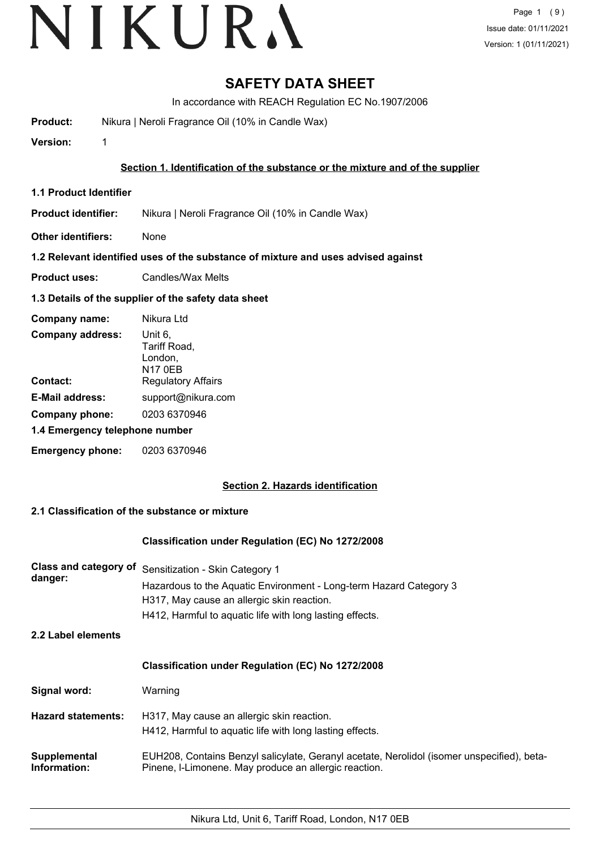## **SAFETY DATA SHEET**

In accordance with REACH Regulation EC No.1907/2006

**Product:** Nikura | Neroli Fragrance Oil (10% in Candle Wax)

**Version:** 1

### **Section 1. Identification of the substance or the mixture and of the supplier**

**1.1 Product Identifier**

**Product identifier:** Nikura | Neroli Fragrance Oil (10% in Candle Wax)

**Other identifiers:** None

#### **1.2 Relevant identified uses of the substance of mixture and uses advised against**

**Product uses:** Candles/Wax Melts

#### **1.3 Details of the supplier of the safety data sheet**

| Company name:                  | Nikura Ltd                                           |
|--------------------------------|------------------------------------------------------|
| <b>Company address:</b>        | Unit 6,<br>Tariff Road,<br>London,<br><b>N17 0EB</b> |
| Contact:                       | <b>Regulatory Affairs</b>                            |
| <b>E-Mail address:</b>         | support@nikura.com                                   |
| Company phone:                 | 0203 6370946                                         |
| 1.4 Emergency telephone number |                                                      |
| <b>Emergency phone:</b>        | 0203 6370946                                         |

#### **Section 2. Hazards identification**

### **2.1 Classification of the substance or mixture**

#### **Classification under Regulation (EC) No 1272/2008**

| Class and category of<br>danger: | Sensitization - Skin Category 1<br>Hazardous to the Aquatic Environment - Long-term Hazard Category 3<br>H317, May cause an allergic skin reaction.<br>H412, Harmful to aquatic life with long lasting effects. |  |
|----------------------------------|-----------------------------------------------------------------------------------------------------------------------------------------------------------------------------------------------------------------|--|
| 2.2 Label elements               |                                                                                                                                                                                                                 |  |
|                                  | Classification under Regulation (EC) No 1272/2008                                                                                                                                                               |  |
| Signal word:                     | Warning                                                                                                                                                                                                         |  |
| <b>Hazard statements:</b>        | H317, May cause an allergic skin reaction.<br>H412, Harmful to aquatic life with long lasting effects.                                                                                                          |  |
| Supplemental<br>Information:     | EUH208, Contains Benzyl salicylate, Geranyl acetate, Nerolidol (isomer unspecified), beta-<br>Pinene, I-Limonene. May produce an allergic reaction.                                                             |  |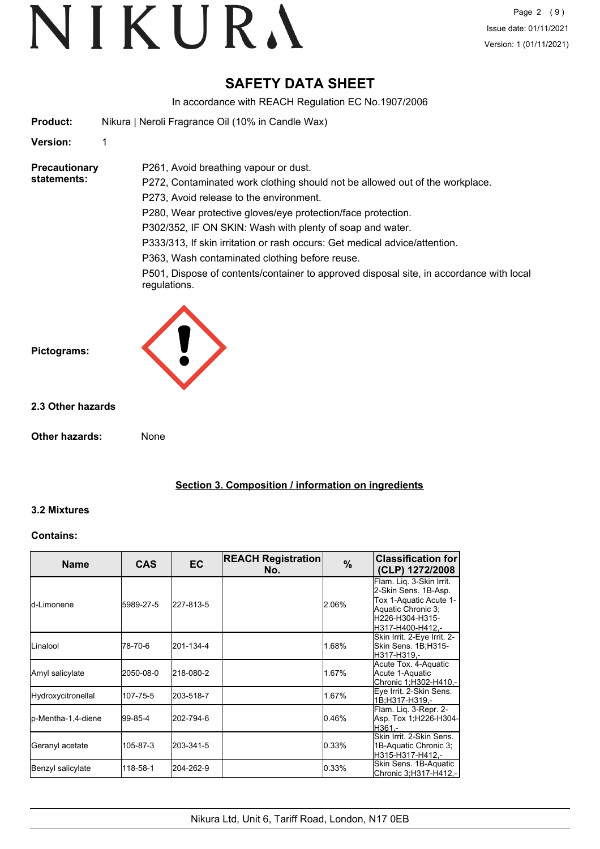## **SAFETY DATA SHEET**

In accordance with REACH Regulation EC No.1907/2006

|                                     | $\sim$ 0.000 adjice with the form togalation EQ 110.1001/2000                                                                                                                                                                                                                                                                                                                                                                                                                                                                            |
|-------------------------------------|------------------------------------------------------------------------------------------------------------------------------------------------------------------------------------------------------------------------------------------------------------------------------------------------------------------------------------------------------------------------------------------------------------------------------------------------------------------------------------------------------------------------------------------|
| <b>Product:</b>                     | Nikura   Neroli Fragrance Oil (10% in Candle Wax)                                                                                                                                                                                                                                                                                                                                                                                                                                                                                        |
| Version:                            | 1                                                                                                                                                                                                                                                                                                                                                                                                                                                                                                                                        |
| <b>Precautionary</b><br>statements: | P261, Avoid breathing vapour or dust.<br>P272, Contaminated work clothing should not be allowed out of the workplace.<br>P273, Avoid release to the environment.<br>P280, Wear protective gloves/eye protection/face protection.<br>P302/352, IF ON SKIN: Wash with plenty of soap and water.<br>P333/313, If skin irritation or rash occurs: Get medical advice/attention.<br>P363, Wash contaminated clothing before reuse.<br>P501, Dispose of contents/container to approved disposal site, in accordance with local<br>regulations. |
| Pictograms:                         |                                                                                                                                                                                                                                                                                                                                                                                                                                                                                                                                          |
| 2.3 Other hazards                   |                                                                                                                                                                                                                                                                                                                                                                                                                                                                                                                                          |
| <b>Other hazards:</b>               | None                                                                                                                                                                                                                                                                                                                                                                                                                                                                                                                                     |

### **Section 3. Composition / information on ingredients**

#### **3.2 Mixtures**

#### **Contains:**

| <b>Name</b>         | <b>CAS</b> | <b>EC</b> | <b>REACH Registration</b><br>No. | $\%$  | <b>Classification for</b><br>(CLP) 1272/2008                                                                                            |
|---------------------|------------|-----------|----------------------------------|-------|-----------------------------------------------------------------------------------------------------------------------------------------|
| ld-Limonene         | 5989-27-5  | 227-813-5 |                                  | 2.06% | Flam. Lig. 3-Skin Irrit.<br>2-Skin Sens. 1B-Asp.<br>Tox 1-Aquatic Acute 1-<br>Aquatic Chronic 3;<br>H226-H304-H315-<br>H317-H400-H412,- |
| <b>I</b> Linalool   | 78-70-6    | 201-134-4 |                                  | 1.68% | Skin Irrit. 2-Eye Irrit. 2-<br>Skin Sens. 1B;H315-<br>H317-H319.-                                                                       |
| Amyl salicylate     | 2050-08-0  | 218-080-2 |                                  | 1.67% | Acute Tox. 4-Aquatic<br>Acute 1-Aquatic<br>Chronic 1;H302-H410,-                                                                        |
| Hydroxycitronellal  | 107-75-5   | 203-518-7 |                                  | 1.67% | Eye Irrit. 2-Skin Sens.<br>1B:H317-H319.-                                                                                               |
| lp-Mentha-1,4-diene | 99-85-4    | 202-794-6 |                                  | 0.46% | Flam. Liq. 3-Repr. 2-<br>Asp. Tox 1; H226-H304-<br>H361,-                                                                               |
| Geranyl acetate     | 105-87-3   | 203-341-5 |                                  | 0.33% | Skin Irrit, 2-Skin Sens.<br>1B-Aquatic Chronic 3;<br>H315-H317-H412.-                                                                   |
| Benzyl salicylate   | 118-58-1   | 204-262-9 |                                  | 0.33% | Skin Sens. 1B-Aquatic<br> Chronic 3:H317-H412.-                                                                                         |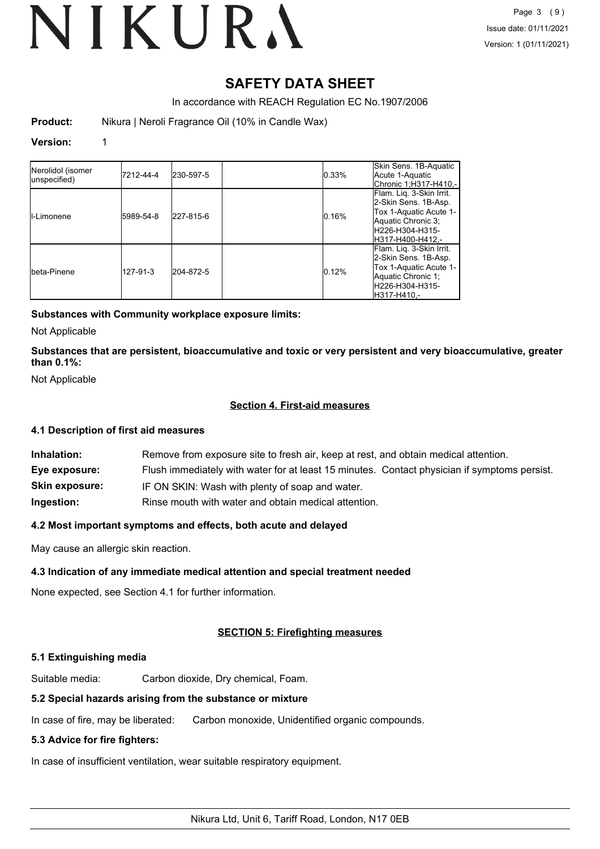# VIKURA

## **SAFETY DATA SHEET**

In accordance with REACH Regulation EC No.1907/2006

**Product:** Nikura | Neroli Fragrance Oil (10% in Candle Wax)

#### **Version:** 1

| Nerolidol (isomer<br>unspecified) | 7212-44-4 | 230-597-5 | 0.33% | Skin Sens. 1B-Aquatic<br>Acute 1-Aquatic<br> Chronic 1:H317-H410.-                                                                       |
|-----------------------------------|-----------|-----------|-------|------------------------------------------------------------------------------------------------------------------------------------------|
| II-Limonene                       | 5989-54-8 | 227-815-6 | 0.16% | Flam. Liq. 3-Skin Irrit.<br>2-Skin Sens. 1B-Asp.<br>Tox 1-Aquatic Acute 1-<br>Aquatic Chronic 3:<br>lH226-H304-H315-<br>H317-H400-H412.- |
| Ibeta-Pinene                      | 127-91-3  | 204-872-5 | 0.12% | Flam. Lig. 3-Skin Irrit.<br>2-Skin Sens. 1B-Asp.<br>Tox 1-Aquatic Acute 1-<br>Aquatic Chronic 1;<br>lH226-H304-H315-<br>IH317-H410.-     |

#### **Substances with Community workplace exposure limits:**

Not Applicable

**Substances that are persistent, bioaccumulative and toxic or very persistent and very bioaccumulative, greater than 0.1%:**

Not Applicable

#### **Section 4. First-aid measures**

#### **4.1 Description of first aid measures**

| Inhalation:           | Remove from exposure site to fresh air, keep at rest, and obtain medical attention.          |
|-----------------------|----------------------------------------------------------------------------------------------|
| Eye exposure:         | Flush immediately with water for at least 15 minutes. Contact physician if symptoms persist. |
| <b>Skin exposure:</b> | IF ON SKIN: Wash with plenty of soap and water.                                              |
| Ingestion:            | Rinse mouth with water and obtain medical attention.                                         |

#### **4.2 Most important symptoms and effects, both acute and delayed**

May cause an allergic skin reaction.

#### **4.3 Indication of any immediate medical attention and special treatment needed**

None expected, see Section 4.1 for further information.

#### **SECTION 5: Firefighting measures**

#### **5.1 Extinguishing media**

Suitable media: Carbon dioxide, Dry chemical, Foam.

#### **5.2 Special hazards arising from the substance or mixture**

In case of fire, may be liberated: Carbon monoxide, Unidentified organic compounds.

#### **5.3 Advice for fire fighters:**

In case of insufficient ventilation, wear suitable respiratory equipment.

Nikura Ltd, Unit 6, Tariff Road, London, N17 0EB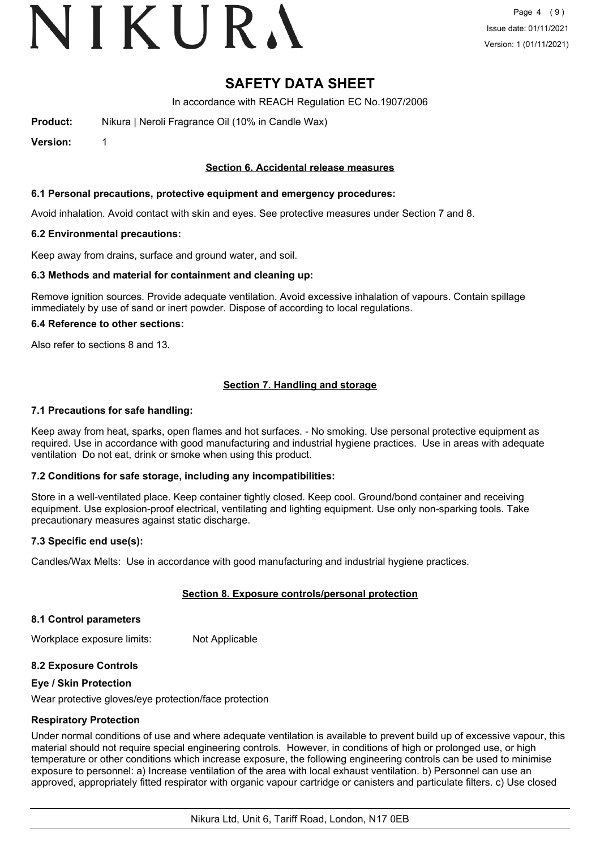# VIKURA

## **SAFETY DATA SHEET**

In accordance with REACH Regulation EC No.1907/2006

**Product:** Nikura | Neroli Fragrance Oil (10% in Candle Wax)

**Version:** 1

#### **Section 6. Accidental release measures**

#### **6.1 Personal precautions, protective equipment and emergency procedures:**

Avoid inhalation. Avoid contact with skin and eyes. See protective measures under Section 7 and 8.

#### **6.2 Environmental precautions:**

Keep away from drains, surface and ground water, and soil.

#### **6.3 Methods and material for containment and cleaning up:**

Remove ignition sources. Provide adequate ventilation. Avoid excessive inhalation of vapours. Contain spillage immediately by use of sand or inert powder. Dispose of according to local regulations.

#### **6.4 Reference to other sections:**

Also refer to sections 8 and 13.

#### **Section 7. Handling and storage**

#### **7.1 Precautions for safe handling:**

Keep away from heat, sparks, open flames and hot surfaces. - No smoking. Use personal protective equipment as required. Use in accordance with good manufacturing and industrial hygiene practices. Use in areas with adequate ventilation Do not eat, drink or smoke when using this product.

#### **7.2 Conditions for safe storage, including any incompatibilities:**

Store in a well-ventilated place. Keep container tightly closed. Keep cool. Ground/bond container and receiving equipment. Use explosion-proof electrical, ventilating and lighting equipment. Use only non-sparking tools. Take precautionary measures against static discharge.

#### **7.3 Specific end use(s):**

Candles/Wax Melts: Use in accordance with good manufacturing and industrial hygiene practices.

#### **Section 8. Exposure controls/personal protection**

#### **8.1 Control parameters**

Workplace exposure limits: Not Applicable

#### **8.2 Exposure Controls**

#### **Eye / Skin Protection**

Wear protective gloves/eye protection/face protection

#### **Respiratory Protection**

Under normal conditions of use and where adequate ventilation is available to prevent build up of excessive vapour, this material should not require special engineering controls. However, in conditions of high or prolonged use, or high temperature or other conditions which increase exposure, the following engineering controls can be used to minimise exposure to personnel: a) Increase ventilation of the area with local exhaust ventilation. b) Personnel can use an approved, appropriately fitted respirator with organic vapour cartridge or canisters and particulate filters. c) Use closed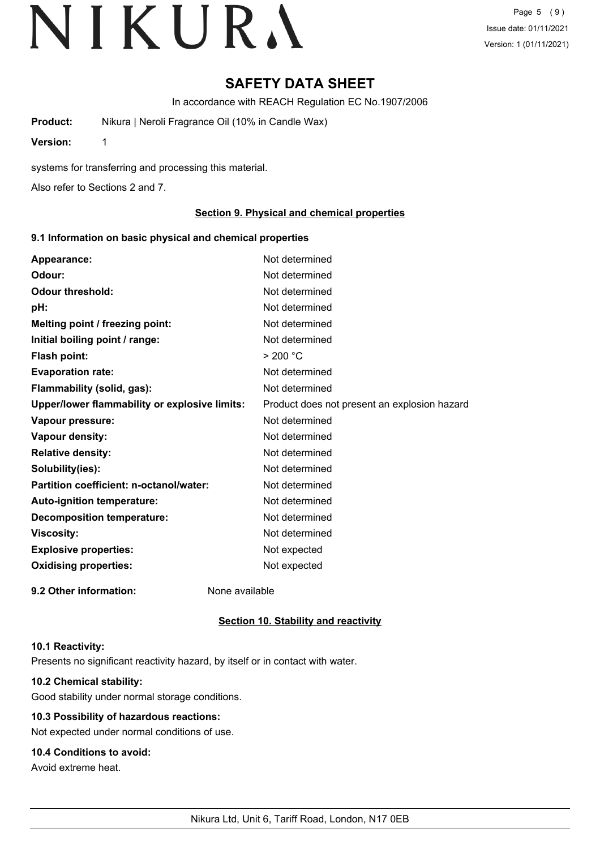## **SAFETY DATA SHEET**

In accordance with REACH Regulation EC No.1907/2006

**Product:** Nikura | Neroli Fragrance Oil (10% in Candle Wax)

**Version:** 1

systems for transferring and processing this material.

Also refer to Sections 2 and 7.

#### **Section 9. Physical and chemical properties**

#### **9.1 Information on basic physical and chemical properties**

| Appearance:                                   | Not determined                               |
|-----------------------------------------------|----------------------------------------------|
| Odour:                                        | Not determined                               |
| <b>Odour threshold:</b>                       | Not determined                               |
| pH:                                           | Not determined                               |
| Melting point / freezing point:               | Not determined                               |
| Initial boiling point / range:                | Not determined                               |
| <b>Flash point:</b>                           | > 200 °C                                     |
| <b>Evaporation rate:</b>                      | Not determined                               |
| Flammability (solid, gas):                    | Not determined                               |
| Upper/lower flammability or explosive limits: | Product does not present an explosion hazard |
| Vapour pressure:                              | Not determined                               |
| Vapour density:                               | Not determined                               |
| <b>Relative density:</b>                      | Not determined                               |
| Solubility(ies):                              | Not determined                               |
| Partition coefficient: n-octanol/water:       | Not determined                               |
| Auto-ignition temperature:                    | Not determined                               |
| <b>Decomposition temperature:</b>             | Not determined                               |
| <b>Viscosity:</b>                             | Not determined                               |
| <b>Explosive properties:</b>                  | Not expected                                 |
| <b>Oxidising properties:</b>                  | Not expected                                 |
| 9.2 Other information:                        | None available                               |

#### **Section 10. Stability and reactivity**

#### **10.1 Reactivity:**

Presents no significant reactivity hazard, by itself or in contact with water.

### **10.2 Chemical stability:**

Good stability under normal storage conditions.

### **10.3 Possibility of hazardous reactions:**

Not expected under normal conditions of use.

### **10.4 Conditions to avoid:**

Avoid extreme heat.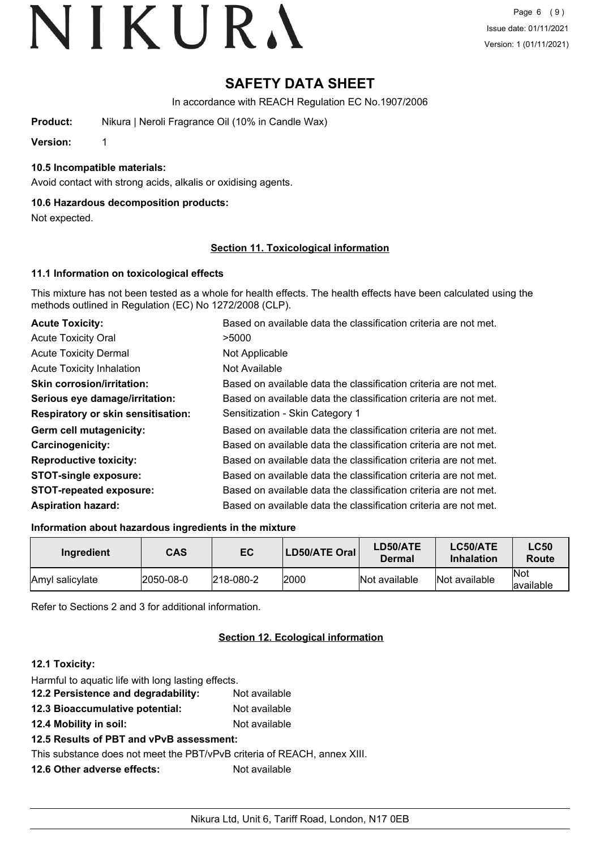## **SAFETY DATA SHEET**

In accordance with REACH Regulation EC No.1907/2006

**Product:** Nikura | Neroli Fragrance Oil (10% in Candle Wax)

**Version:** 1

#### **10.5 Incompatible materials:**

Avoid contact with strong acids, alkalis or oxidising agents.

#### **10.6 Hazardous decomposition products:**

Not expected.

#### **Section 11. Toxicological information**

#### **11.1 Information on toxicological effects**

This mixture has not been tested as a whole for health effects. The health effects have been calculated using the methods outlined in Regulation (EC) No 1272/2008 (CLP).

| <b>Acute Toxicity:</b>                    | Based on available data the classification criteria are not met. |
|-------------------------------------------|------------------------------------------------------------------|
| <b>Acute Toxicity Oral</b>                | >5000                                                            |
| <b>Acute Toxicity Dermal</b>              | Not Applicable                                                   |
| <b>Acute Toxicity Inhalation</b>          | Not Available                                                    |
| <b>Skin corrosion/irritation:</b>         | Based on available data the classification criteria are not met. |
| Serious eye damage/irritation:            | Based on available data the classification criteria are not met. |
| <b>Respiratory or skin sensitisation:</b> | Sensitization - Skin Category 1                                  |
| Germ cell mutagenicity:                   | Based on available data the classification criteria are not met. |
| <b>Carcinogenicity:</b>                   | Based on available data the classification criteria are not met. |
| <b>Reproductive toxicity:</b>             | Based on available data the classification criteria are not met. |
| <b>STOT-single exposure:</b>              | Based on available data the classification criteria are not met. |
| <b>STOT-repeated exposure:</b>            | Based on available data the classification criteria are not met. |
| <b>Aspiration hazard:</b>                 | Based on available data the classification criteria are not met. |

#### **Information about hazardous ingredients in the mixture**

| Ingredient             | <b>CAS</b> | EC                | LD50/ATE Oral | LD50/ATE<br><b>Dermal</b> | LC50/ATE<br><b>Inhalation</b> | <b>LC50</b><br>Route     |
|------------------------|------------|-------------------|---------------|---------------------------|-------------------------------|--------------------------|
| <b>Amyl</b> salicylate | 2050-08-0  | $ 218 - 080 - 2 $ | 2000          | Not available             | Not available                 | <b>Not</b><br>lavailable |

Refer to Sections 2 and 3 for additional information.

### **Section 12. Ecological information**

### **12.1 Toxicity:**

| Harmful to aquatic life with long lasting effects.           |               |
|--------------------------------------------------------------|---------------|
| 12.2 Persistence and degradability:                          | Not available |
| 12.3 Bioaccumulative potential:                              | Not available |
| 12.4 Mobility in soil:                                       | Not available |
| 12.5 Results of PBT and vPvB assessment:                     |               |
| This substance does not meet the PBT/vPvB criteria of REACH, |               |
| 12.6 Other adverse effects:                                  | Not available |
|                                                              |               |

annex XIII.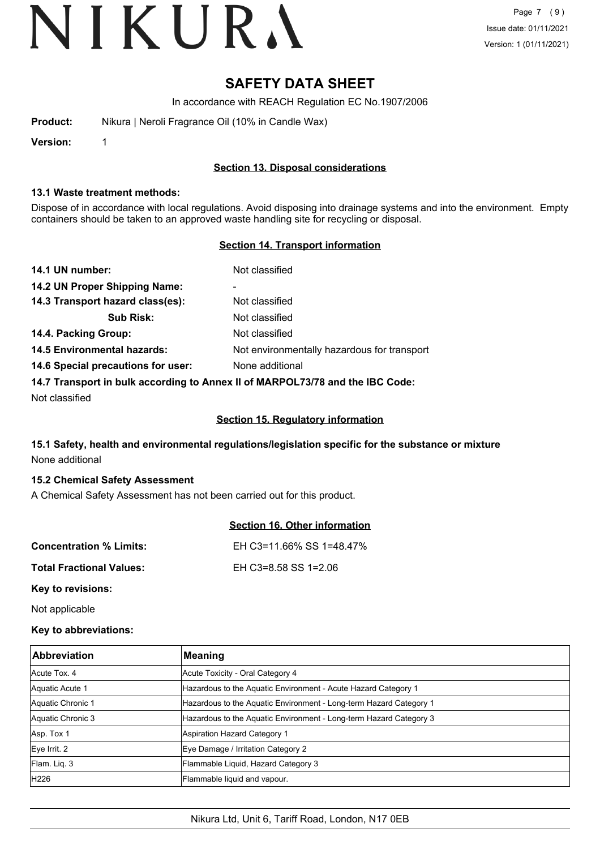## **SAFETY DATA SHEET**

In accordance with REACH Regulation EC No.1907/2006

| Product: |  | Nikura   Neroli Fragrance Oil (10% in Candle Wax) |  |  |
|----------|--|---------------------------------------------------|--|--|
|----------|--|---------------------------------------------------|--|--|

**Version:** 1

#### **Section 13. Disposal considerations**

#### **13.1 Waste treatment methods:**

Dispose of in accordance with local regulations. Avoid disposing into drainage systems and into the environment. Empty containers should be taken to an approved waste handling site for recycling or disposal.

#### **Section 14. Transport information**

| 14.1 UN number:                                                               | Not classified                              |  |
|-------------------------------------------------------------------------------|---------------------------------------------|--|
| 14.2 UN Proper Shipping Name:                                                 | -                                           |  |
| 14.3 Transport hazard class(es):                                              | Not classified                              |  |
| <b>Sub Risk:</b>                                                              | Not classified                              |  |
| 14.4. Packing Group:                                                          | Not classified                              |  |
| <b>14.5 Environmental hazards:</b>                                            | Not environmentally hazardous for transport |  |
| 14.6 Special precautions for user:                                            | None additional                             |  |
| 14.7 Transport in bulk according to Annex II of MARPOL73/78 and the IBC Code: |                                             |  |

Not classified

#### **Section 15. Regulatory information**

### **15.1 Safety, health and environmental regulations/legislation specific for the substance or mixture** None additional

#### **15.2 Chemical Safety Assessment**

A Chemical Safety Assessment has not been carried out for this product.

|                                 | Section 16. Other information |
|---------------------------------|-------------------------------|
| <b>Concentration % Limits:</b>  | EH C3=11.66% SS 1=48.47%      |
| <b>Total Fractional Values:</b> | EH C3=8.58 SS 1=2.06          |
| Key to revisions:               |                               |

Not applicable

#### **Key to abbreviations:**

| <b>Abbreviation</b> | <b>Meaning</b>                                                     |
|---------------------|--------------------------------------------------------------------|
| Acute Tox, 4        | Acute Toxicity - Oral Category 4                                   |
| Aquatic Acute 1     | Hazardous to the Aquatic Environment - Acute Hazard Category 1     |
| Aquatic Chronic 1   | Hazardous to the Aquatic Environment - Long-term Hazard Category 1 |
| Aquatic Chronic 3   | Hazardous to the Aquatic Environment - Long-term Hazard Category 3 |
| Asp. Tox 1          | Aspiration Hazard Category 1                                       |
| Eye Irrit. 2        | Eye Damage / Irritation Category 2                                 |
| Flam. Liq. 3        | Flammable Liquid, Hazard Category 3                                |
| H226                | Flammable liquid and vapour.                                       |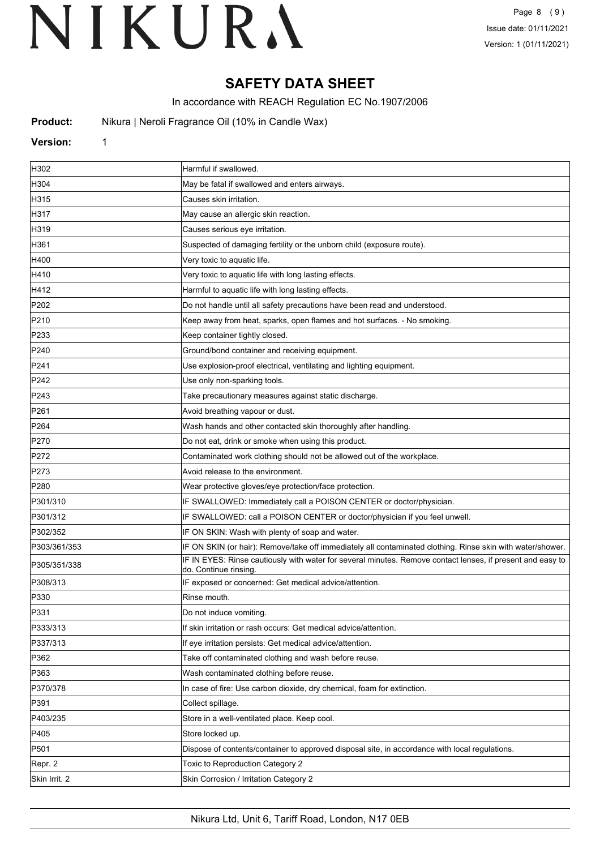## **SAFETY DATA SHEET**

In accordance with REACH Regulation EC No.1907/2006

**Product:** Nikura | Neroli Fragrance Oil (10% in Candle Wax)

#### **Version:** 1

| H302             | Harmful if swallowed.                                                                                                              |
|------------------|------------------------------------------------------------------------------------------------------------------------------------|
| H304             | May be fatal if swallowed and enters airways.                                                                                      |
| H315             | Causes skin irritation.                                                                                                            |
| H317             | May cause an allergic skin reaction.                                                                                               |
| H319             | Causes serious eye irritation.                                                                                                     |
| H361             | Suspected of damaging fertility or the unborn child (exposure route).                                                              |
| H400             | Very toxic to aquatic life.                                                                                                        |
| H410             | Very toxic to aquatic life with long lasting effects.                                                                              |
| H412             | Harmful to aquatic life with long lasting effects.                                                                                 |
| P202             | Do not handle until all safety precautions have been read and understood.                                                          |
| P210             | Keep away from heat, sparks, open flames and hot surfaces. - No smoking.                                                           |
| P233             | Keep container tightly closed.                                                                                                     |
| P240             | Ground/bond container and receiving equipment.                                                                                     |
| P241             | Use explosion-proof electrical, ventilating and lighting equipment.                                                                |
| P242             | Use only non-sparking tools.                                                                                                       |
| P243             | Take precautionary measures against static discharge.                                                                              |
| P261             | Avoid breathing vapour or dust.                                                                                                    |
| P <sub>264</sub> | Wash hands and other contacted skin thoroughly after handling.                                                                     |
| P270             | Do not eat, drink or smoke when using this product.                                                                                |
| P272             | Contaminated work clothing should not be allowed out of the workplace.                                                             |
| P273             | Avoid release to the environment.                                                                                                  |
| P280             | Wear protective gloves/eye protection/face protection.                                                                             |
| P301/310         | IF SWALLOWED: Immediately call a POISON CENTER or doctor/physician.                                                                |
| P301/312         | IF SWALLOWED: call a POISON CENTER or doctor/physician if you feel unwell.                                                         |
| P302/352         | IF ON SKIN: Wash with plenty of soap and water.                                                                                    |
| P303/361/353     | IF ON SKIN (or hair): Remove/take off immediately all contaminated clothing. Rinse skin with water/shower.                         |
| P305/351/338     | IF IN EYES: Rinse cautiously with water for several minutes. Remove contact lenses, if present and easy to<br>do. Continue rinsing |
| P308/313         | IF exposed or concerned: Get medical advice/attention.                                                                             |
| P330             | Rinse mouth.                                                                                                                       |
| P331             | Do not induce vomiting                                                                                                             |
| P333/313         | If skin irritation or rash occurs: Get medical advice/attention.                                                                   |
| P337/313         | If eye irritation persists: Get medical advice/attention.                                                                          |
| P362             | Take off contaminated clothing and wash before reuse.                                                                              |
| P363             | Wash contaminated clothing before reuse.                                                                                           |
| P370/378         | In case of fire: Use carbon dioxide, dry chemical, foam for extinction.                                                            |
| P391             | Collect spillage.                                                                                                                  |
| P403/235         | Store in a well-ventilated place. Keep cool.                                                                                       |
| P405             | Store locked up.                                                                                                                   |
| P501             | Dispose of contents/container to approved disposal site, in accordance with local regulations.                                     |
| Repr. 2          | Toxic to Reproduction Category 2                                                                                                   |
| Skin Irrit. 2    | Skin Corrosion / Irritation Category 2                                                                                             |